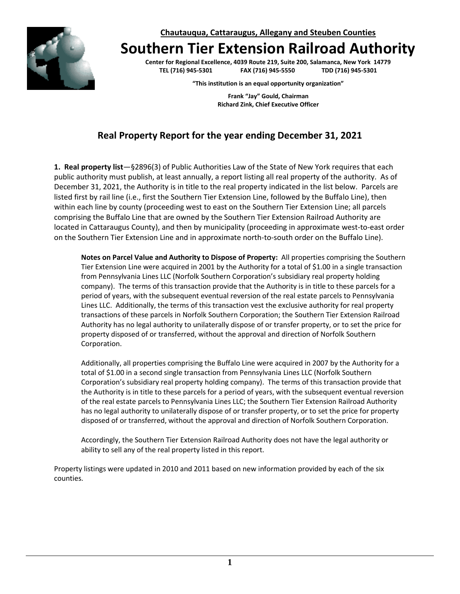**Chautauqua, Cattaraugus, Allegany and Steuben Counties**



**Southern Tier Extension Railroad Authority**

**Center for Regional Excellence, 4039 Route 219, Suite 200, Salamanca, New York 14779 TEL (716) 945-5301 FAX (716) 945-5550 TDD (716) 945-5301**

**"This institution is an equal opportunity organization"**

**Frank "Jay" Gould, Chairman Richard Zink, Chief Executive Officer**

# **Real Property Report for the year ending December 31, 2021**

**1. Real property list**—§2896(3) of Public Authorities Law of the State of New York requires that each public authority must publish, at least annually, a report listing all real property of the authority. As of December 31, 2021, the Authority is in title to the real property indicated in the list below. Parcels are listed first by rail line (i.e., first the Southern Tier Extension Line, followed by the Buffalo Line), then within each line by county (proceeding west to east on the Southern Tier Extension Line; all parcels comprising the Buffalo Line that are owned by the Southern Tier Extension Railroad Authority are located in Cattaraugus County), and then by municipality (proceeding in approximate west-to-east order on the Southern Tier Extension Line and in approximate north-to-south order on the Buffalo Line).

**Notes on Parcel Value and Authority to Dispose of Property:** All properties comprising the Southern Tier Extension Line were acquired in 2001 by the Authority for a total of \$1.00 in a single transaction from Pennsylvania Lines LLC (Norfolk Southern Corporation's subsidiary real property holding company). The terms of this transaction provide that the Authority is in title to these parcels for a period of years, with the subsequent eventual reversion of the real estate parcels to Pennsylvania Lines LLC. Additionally, the terms of this transaction vest the exclusive authority for real property transactions of these parcels in Norfolk Southern Corporation; the Southern Tier Extension Railroad Authority has no legal authority to unilaterally dispose of or transfer property, or to set the price for property disposed of or transferred, without the approval and direction of Norfolk Southern Corporation.

Additionally, all properties comprising the Buffalo Line were acquired in 2007 by the Authority for a total of \$1.00 in a second single transaction from Pennsylvania Lines LLC (Norfolk Southern Corporation's subsidiary real property holding company). The terms of this transaction provide that the Authority is in title to these parcels for a period of years, with the subsequent eventual reversion of the real estate parcels to Pennsylvania Lines LLC; the Southern Tier Extension Railroad Authority has no legal authority to unilaterally dispose of or transfer property, or to set the price for property disposed of or transferred, without the approval and direction of Norfolk Southern Corporation.

Accordingly, the Southern Tier Extension Railroad Authority does not have the legal authority or ability to sell any of the real property listed in this report.

Property listings were updated in 2010 and 2011 based on new information provided by each of the six counties.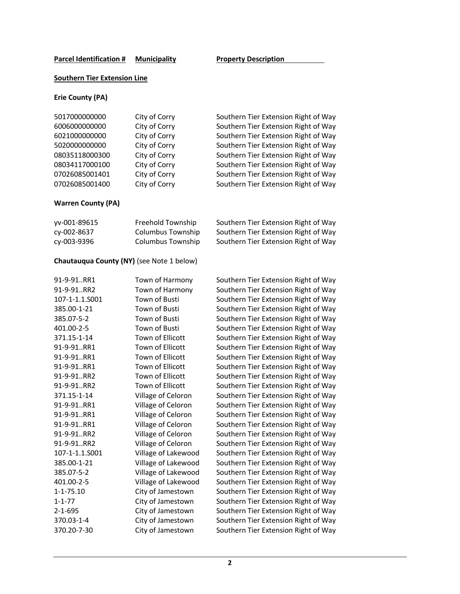## **Southern Tier Extension Line**

### **Erie County (PA)**

| 5017000000000  | City of Corry | Southern Tier Extension Right of Way |
|----------------|---------------|--------------------------------------|
| 6006000000000  | City of Corry | Southern Tier Extension Right of Way |
| 6021000000000  | City of Corry | Southern Tier Extension Right of Way |
| 5020000000000  | City of Corry | Southern Tier Extension Right of Way |
| 08035118000300 | City of Corry | Southern Tier Extension Right of Way |
| 08034117000100 | City of Corry | Southern Tier Extension Right of Way |
| 07026085001401 | City of Corry | Southern Tier Extension Right of Way |
| 07026085001400 | City of Corry | Southern Tier Extension Right of Way |
|                |               |                                      |

# **Warren County (PA)**

| vv-001-89615 | Freehold Township | Southern Tier Extension Right of Way |
|--------------|-------------------|--------------------------------------|
| су-002-8637  | Columbus Township | Southern Tier Extension Right of Way |
| су-003-9396  | Columbus Township | Southern Tier Extension Right of Way |

# **Chautauqua County (NY)** (see Note 1 below)

| 91-9-91RR1      | Town of Harmony         | Southern Tier Extension Right of Way |
|-----------------|-------------------------|--------------------------------------|
| 91-9-91RR2      | Town of Harmony         | Southern Tier Extension Right of Way |
| 107-1-1.1.S001  | Town of Busti           | Southern Tier Extension Right of Way |
| 385.00-1-21     | Town of Busti           | Southern Tier Extension Right of Way |
| 385.07-5-2      | Town of Busti           | Southern Tier Extension Right of Way |
| 401.00-2-5      | Town of Busti           | Southern Tier Extension Right of Way |
| 371.15-1-14     | Town of Ellicott        | Southern Tier Extension Right of Way |
| 91-9-91RR1      | Town of Ellicott        | Southern Tier Extension Right of Way |
| 91-9-91RR1      | Town of Ellicott        | Southern Tier Extension Right of Way |
| 91-9-91RR1      | Town of Ellicott        | Southern Tier Extension Right of Way |
| 91-9-91RR2      | <b>Town of Ellicott</b> | Southern Tier Extension Right of Way |
| 91-9-91RR2      | Town of Ellicott        | Southern Tier Extension Right of Way |
| 371.15-1-14     | Village of Celoron      | Southern Tier Extension Right of Way |
| 91-9-91RR1      | Village of Celoron      | Southern Tier Extension Right of Way |
| 91-9-91RR1      | Village of Celoron      | Southern Tier Extension Right of Way |
| 91-9-91RR1      | Village of Celoron      | Southern Tier Extension Right of Way |
| 91-9-91RR2      | Village of Celoron      | Southern Tier Extension Right of Way |
| 91-9-91RR2      | Village of Celoron      | Southern Tier Extension Right of Way |
| 107-1-1.1.S001  | Village of Lakewood     | Southern Tier Extension Right of Way |
| 385.00-1-21     | Village of Lakewood     | Southern Tier Extension Right of Way |
| 385.07-5-2      | Village of Lakewood     | Southern Tier Extension Right of Way |
| 401.00-2-5      | Village of Lakewood     | Southern Tier Extension Right of Way |
| $1 - 1 - 75.10$ | City of Jamestown       | Southern Tier Extension Right of Way |
| $1 - 1 - 77$    | City of Jamestown       | Southern Tier Extension Right of Way |
| $2 - 1 - 695$   | City of Jamestown       | Southern Tier Extension Right of Way |
| 370.03-1-4      | City of Jamestown       | Southern Tier Extension Right of Way |
| 370.20-7-30     | City of Jamestown       | Southern Tier Extension Right of Way |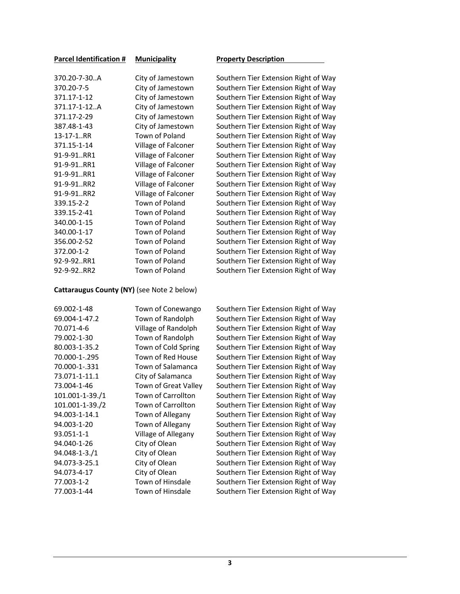| City of Jamestown   |
|---------------------|
| City of Jamestown   |
| City of Jamestown   |
| City of Jamestown   |
| City of Jamestown   |
| City of Jamestown   |
| Town of Poland      |
| Village of Falconer |
| Village of Falconer |
| Village of Falconer |
| Village of Falconer |
| Village of Falconer |
| Village of Falconer |
| Town of Poland      |
| Town of Poland      |
| Town of Poland      |
| Town of Poland      |
| Town of Poland      |
| Town of Poland      |
| Town of Poland      |
| Town of Poland      |
|                     |

#### **Parcel Identification # Municipality Property Description**

Southern Tier Extension Right of Way Southern Tier Extension Right of Way Southern Tier Extension Right of Way Southern Tier Extension Right of Way Southern Tier Extension Right of Way Southern Tier Extension Right of Way Southern Tier Extension Right of Way Southern Tier Extension Right of Way Southern Tier Extension Right of Way Southern Tier Extension Right of Way Southern Tier Extension Right of Way Southern Tier Extension Right of Way Southern Tier Extension Right of Way Southern Tier Extension Right of Way Southern Tier Extension Right of Way Southern Tier Extension Right of Way Southern Tier Extension Right of Way Southern Tier Extension Right of Way Southern Tier Extension Right of Way Southern Tier Extension Right of Way Southern Tier Extension Right of Way

#### **Cattaraugus County (NY)** (see Note 2 below)

| 69.002-1-48     | Town of Conewango         |
|-----------------|---------------------------|
| 69.004-1-47.2   | Town of Randolph          |
| 70.071-4-6      | Village of Randolph       |
| 79.002-1-30     | Town of Randolph          |
| 80.003-1-35.2   | Town of Cold Spring       |
| 70.000-1-.295   | Town of Red House         |
| 70.000-1-.331   | Town of Salamanca         |
| 73.071-1-11.1   | City of Salamanca         |
| 73.004-1-46     | Town of Great Valley      |
| 101.001-1-39./1 | <b>Town of Carrollton</b> |
| 101.001-1-39./2 | Town of Carrollton        |
| 94.003-1-14.1   | Town of Allegany          |
| 94.003-1-20     | Town of Allegany          |
| 93.051-1-1      | Village of Allegany       |
| 94.040-1-26     | City of Olean             |
| 94.048-1-3./1   | City of Olean             |
| 94.073-3-25.1   | City of Olean             |
| 94.073-4-17     | City of Olean             |
| 77.003-1-2      | Town of Hinsdale          |
| 77.003-1-44     | Town of Hinsdale          |
|                 |                           |

Southern Tier Extension Right of Way Southern Tier Extension Right of Way Southern Tier Extension Right of Way Southern Tier Extension Right of Way Southern Tier Extension Right of Way Southern Tier Extension Right of Way Southern Tier Extension Right of Way Southern Tier Extension Right of Way Southern Tier Extension Right of Way Southern Tier Extension Right of Way Southern Tier Extension Right of Way Southern Tier Extension Right of Way Southern Tier Extension Right of Way Southern Tier Extension Right of Way Southern Tier Extension Right of Way Southern Tier Extension Right of Way Southern Tier Extension Right of Way Southern Tier Extension Right of Way Southern Tier Extension Right of Way Southern Tier Extension Right of Way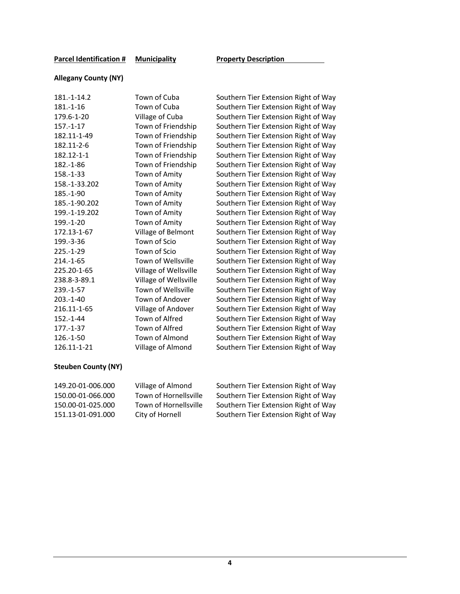#### **Allegany County (NY)**

| 181.-1-14.2    | Town of Cuba          |
|----------------|-----------------------|
| $181 - 1 - 16$ | Town of Cuba          |
| 179.6-1-20     | Village of Cuba       |
| $157.-1-17$    | Town of Friendship    |
| 182.11-1-49    | Town of Friendship    |
| 182.11-2-6     | Town of Friendship    |
| 182.12-1-1     | Town of Friendship    |
| 182.-1-86      | Town of Friendship    |
| 158.-1-33      | Town of Amity         |
| 158.-1-33.202  | Town of Amity         |
| 185.-1-90      | Town of Amity         |
| 185.-1-90.202  | Town of Amity         |
| 199.-1-19.202  | Town of Amity         |
| 199.-1-20      | Town of Amity         |
| 172.13-1-67    | Village of Belmont    |
| 199.-3-36      | Town of Scio          |
| $225.-1-29$    | Town of Scio          |
| 214.-1-65      | Town of Wellsville    |
| 225.20-1-65    | Village of Wellsville |
| 238.8-3-89.1   | Village of Wellsville |
| 239.-1-57      | Town of Wellsville    |
| $203.-1-40$    | Town of Andover       |
| 216.11-1-65    | Village of Andover    |
| $152.-1-44$    | Town of Alfred        |
| $177 - 1 - 37$ | Town of Alfred        |
| 126.-1-50      | Town of Almond        |
| 126.11-1-21    | Village of Almond     |
|                |                       |

Southern Tier Extension Right of Way Southern Tier Extension Right of Way Southern Tier Extension Right of Way Southern Tier Extension Right of Way Southern Tier Extension Right of Way Southern Tier Extension Right of Way Southern Tier Extension Right of Way Southern Tier Extension Right of Way Southern Tier Extension Right of Way Southern Tier Extension Right of Way Southern Tier Extension Right of Way Southern Tier Extension Right of Way Southern Tier Extension Right of Way Southern Tier Extension Right of Way Southern Tier Extension Right of Way Southern Tier Extension Right of Way Southern Tier Extension Right of Way Southern Tier Extension Right of Way Southern Tier Extension Right of Way Southern Tier Extension Right of Way Southern Tier Extension Right of Way Southern Tier Extension Right of Way Southern Tier Extension Right of Way Southern Tier Extension Right of Way Southern Tier Extension Right of Way Southern Tier Extension Right of Way Southern Tier Extension Right of Way

#### **Steuben County (NY)**

| 149.20-01-006.000 |  |
|-------------------|--|
| 150.00-01-066.000 |  |
| 150.00-01-025.000 |  |
| 151.13-01-091.000 |  |

Village of Almond Southern Tier Extension Right of Way Town of Hornellsville Southern Tier Extension Right of Way Town of Hornellsville Southern Tier Extension Right of Way City of Hornell Southern Tier Extension Right of Way